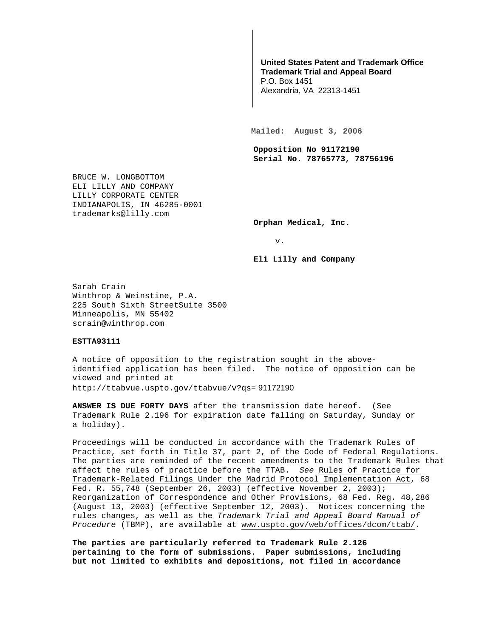## **United States Patent and Trademark Office Trademark Trial and Appeal Board**

P.O. Box 1451 Alexandria, VA 22313-1451

**Mailed: August 3, 2006** 

**Opposition No 91172190 Serial No. 78765773, 78756196** 

BRUCE W. LONGBOTTOM ELI LILLY AND COMPANY LILLY CORPORATE CENTER INDIANAPOLIS, IN 46285-0001 trademarks@lilly.com

**Orphan Medical, Inc.** 

v.

**Eli Lilly and Company** 

Sarah Crain Winthrop & Weinstine, P.A. 225 South Sixth StreetSuite 3500 Minneapolis, MN 55402 scrain@winthrop.com

## **ESTTA93111**

A notice of opposition to the registration sought in the aboveidentified application has been filed. The notice of opposition can be viewed and printed at http://ttabvue.uspto.gov/ttabvue/v?qs= 91172190

**ANSWER IS DUE FORTY DAYS** after the transmission date hereof. (See Trademark Rule 2.196 for expiration date falling on Saturday, Sunday or a holiday).

Proceedings will be conducted in accordance with the Trademark Rules of Practice, set forth in Title 37, part 2, of the Code of Federal Regulations. The parties are reminded of the recent amendments to the Trademark Rules that affect the rules of practice before the TTAB. See Rules of Practice for Trademark-Related Filings Under the Madrid Protocol Implementation Act, 68 Fed. R. 55,748 (September 26, 2003) (effective November 2, 2003); Reorganization of Correspondence and Other Provisions, 68 Fed. Reg. 48,286 (August 13, 2003) (effective September 12, 2003). Notices concerning the rules changes, as well as the Trademark Trial and Appeal Board Manual of Procedure (TBMP), are available at www.uspto.gov/web/offices/dcom/ttab/.

**The parties are particularly referred to Trademark Rule 2.126 pertaining to the form of submissions. Paper submissions, including but not limited to exhibits and depositions, not filed in accordance**